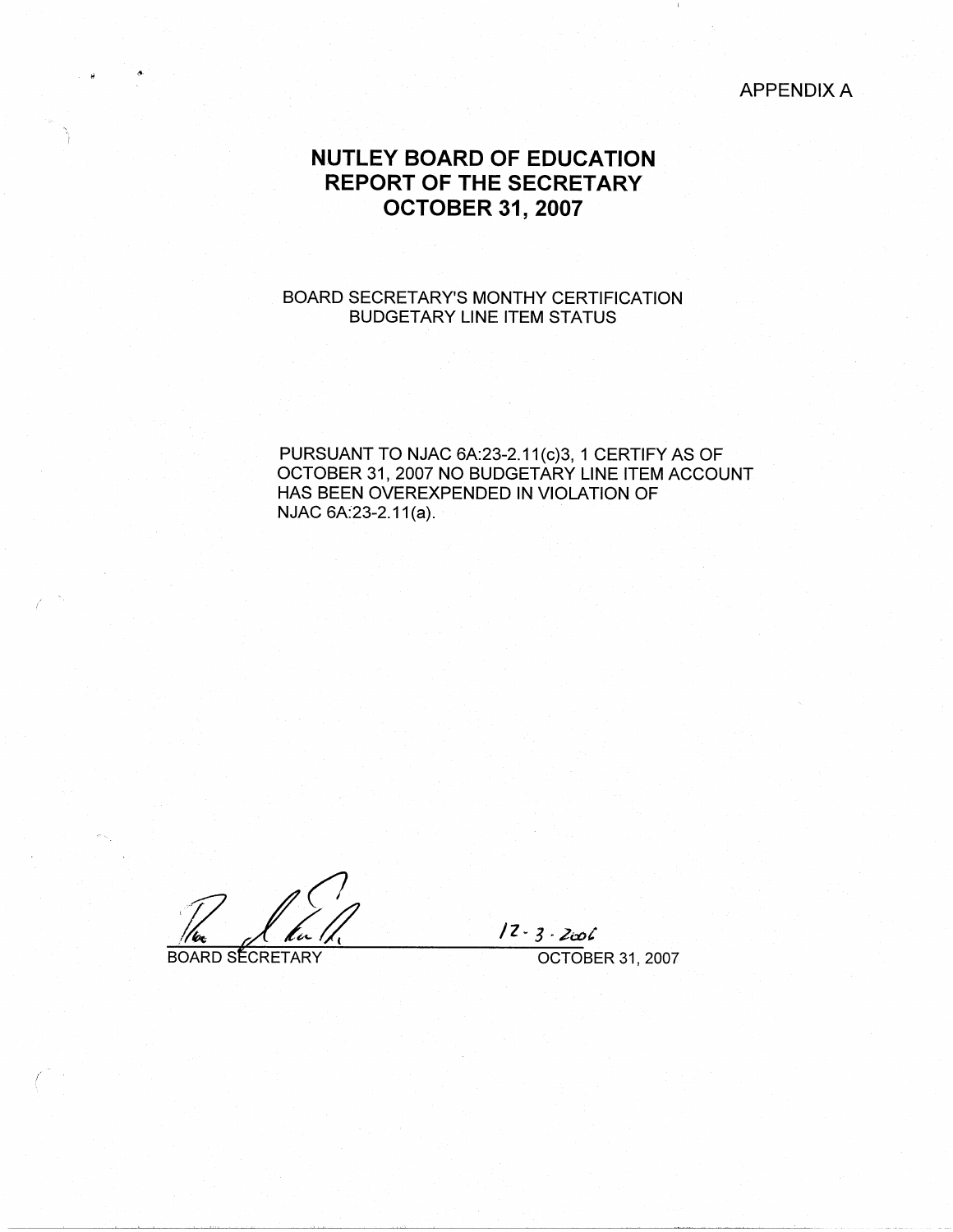# APPENDIX A

# **NUTLEY BOARD OF EDUCATION REPORT OF THE SECRETARY OCTOBER 31, 2007**

# BOARD SECRETARY'S MONTHY CERTIFICATION BUDGETARY LINE ITEM STATUS

PURSUANT TO NJAC 6A:23-2.11(c)3, 1 CERTIFY AS OF OCTOBER 31, 2007 NO BUDGETARY LINE ITEM ACCOUNT HAS BEEN OVEREXPENDED IN VIOLATION OF NJAC 6A:23-2.11(a).

<u>Re</u><br>BOARD SECRETARY

. II

/

/

/Z ~ *3* · 2a"Jt

OCTOBER 31, 2007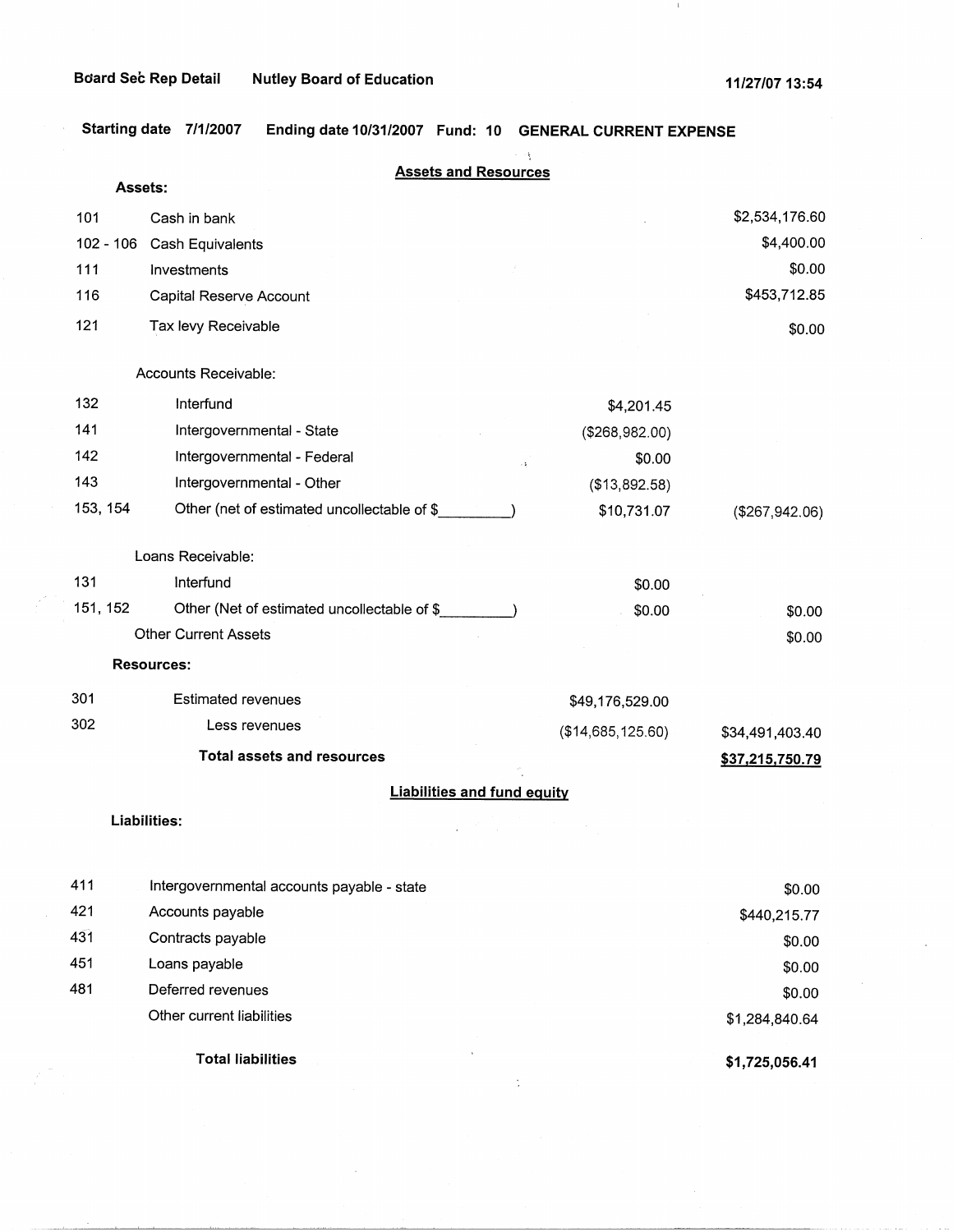$\perp$ 

**Starting date 7/1/2007 Ending date 10/31/2007 Fund: 10 GENERAL CURRENT EXPENSE** 

|             | <b>Assets and Resources</b>                           |                   |                 |
|-------------|-------------------------------------------------------|-------------------|-----------------|
| Assets:     |                                                       |                   |                 |
| 101         | Cash in bank                                          |                   | \$2,534,176.60  |
| $102 - 106$ | Cash Equivalents                                      |                   | \$4,400.00      |
| 111         | Investments                                           |                   | \$0.00          |
| 116         | Capital Reserve Account                               |                   | \$453,712.85    |
| 121         | Tax levy Receivable                                   |                   | \$0.00          |
|             | Accounts Receivable:                                  |                   |                 |
| 132         | Interfund                                             | \$4,201.45        |                 |
| 141         | Intergovernmental - State                             | (\$268,982.00)    |                 |
| 142         | Intergovernmental - Federal<br>$\ddot{\phantom{a}}$ : | \$0.00            |                 |
| 143         | Intergovernmental - Other                             | (\$13,892.58)     |                 |
| 153, 154    | Other (net of estimated uncollectable of \$           | \$10,731.07       | (\$267,942.06)  |
|             | Loans Receivable:                                     |                   |                 |
| 131         | Interfund                                             | \$0.00            |                 |
| 151, 152    | Other (Net of estimated uncollectable of \$           | \$0.00            | \$0.00          |
|             | <b>Other Current Assets</b>                           |                   | \$0.00          |
|             | <b>Resources:</b>                                     |                   |                 |
| 301         | <b>Estimated revenues</b>                             | \$49,176,529.00   |                 |
| 302         | Less revenues                                         | (\$14,685,125.60) | \$34,491,403.40 |
|             | <b>Total assets and resources</b>                     |                   | \$37,215,750.79 |
|             | <b>Liabilities and fund equity</b>                    |                   |                 |
|             | Liabilities:                                          |                   |                 |
| 411         | Intergovernmental accounts payable - state            |                   | \$0.00          |
| 421         | Accounts payable                                      |                   | \$440,215.77    |
| 431         | Contracts payable                                     |                   | \$0.00          |
| 451         | Loans payable                                         |                   | \$0.00          |
| 481         | Deferred revenues                                     |                   | \$0.00          |
|             | Other current liabilities                             |                   | \$1,284,840.64  |
|             | <b>Total liabilities</b>                              |                   | \$1,725,056.41  |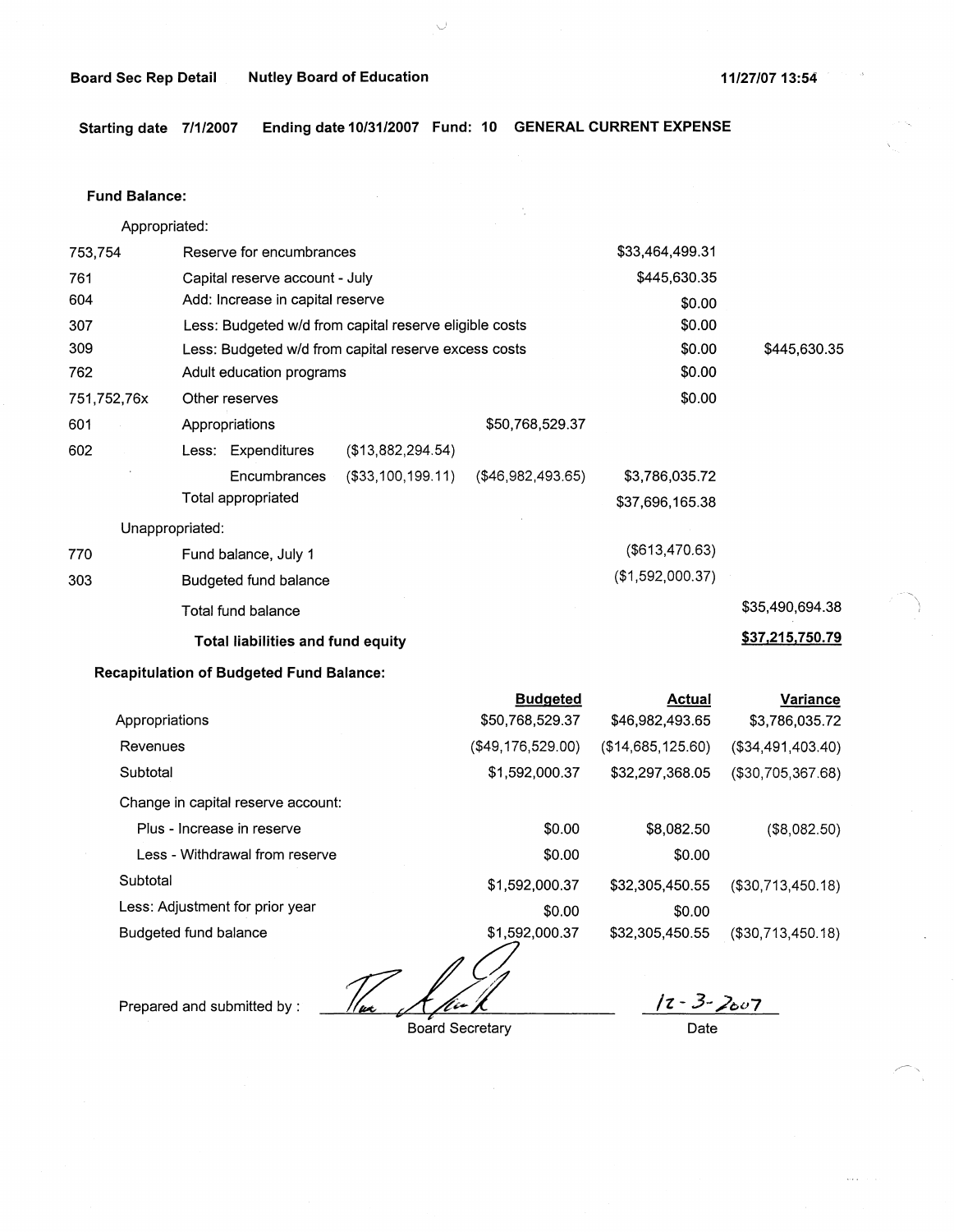#### **Board Sec Rep Detail Nutley Board of Education 11/27/07 13:54 11/27/07 13:54**

- - ' i

**Starting date 7/1/2007 Ending date 10/31/2007 Fund: 10 GENERAL CURRENT EXPENSE** 

#### **Fund Balance:**

753,754 761 604 Appropriated: Reserve for encumbrances Capital reserve account - July Add: Increase in capital reserve 307 309 762 751,752,76x 601 Less: Budgeted w/d from capital reserve eligible costs Less: Budgeted w/d from capital reserve excess costs Adult education programs Other reserves Appropriations 602 Less: Expenditures (\$13,882,294.54) Encumbrances (\$33,100,199.11) Total appropriated Unappropriated: 770 Fund balance, July 1 303 Budgeted fund balance Total fund balance **Total liabilities and fund equity**  \$50,768,529.37 (\$46,982,493.65) \$33,464,499.31 \$445,630.35 \$0.00 \$0.00 \$0.00 \$0.00 \$0.00 \$3,786,035.72 \$37,696,165.38 (\$613,470.63) (\$1,592,000.37) \$445,630.35 \$35,490,694.38 **\$37,215,750.79** 

### **Recapitulation of Budgeted Fund Balance:**

|                                    | <b>Budgeted</b>   | <b>Actual</b>     | Variance             |
|------------------------------------|-------------------|-------------------|----------------------|
| Appropriations                     | \$50,768,529.37   | \$46,982,493.65   | \$3,786,035.72       |
| Revenues                           | (\$49,176,529.00) | (\$14,685,125.60) | (\$34,491,403.40)    |
| Subtotal                           | \$1,592,000.37    | \$32,297,368.05   | $($ \$30,705,367.68) |
| Change in capital reserve account: |                   |                   |                      |
| Plus - Increase in reserve         | \$0.00            | \$8,082.50        | (\$8,082.50)         |
| Less - Withdrawal from reserve     | \$0.00            | \$0.00            |                      |
| Subtotal                           | \$1,592,000.37    | \$32,305,450.55   | $($ \$30,713,450.18) |
| Less: Adjustment for prior year    | \$0.00            | \$0.00            |                      |
| Budgeted fund balance              | \$1,592,000.37    | \$32,305,450.55   | (\$30,713,450.18)    |

Prepared and submitted by :

Board Secretary

**/z** - 3- /007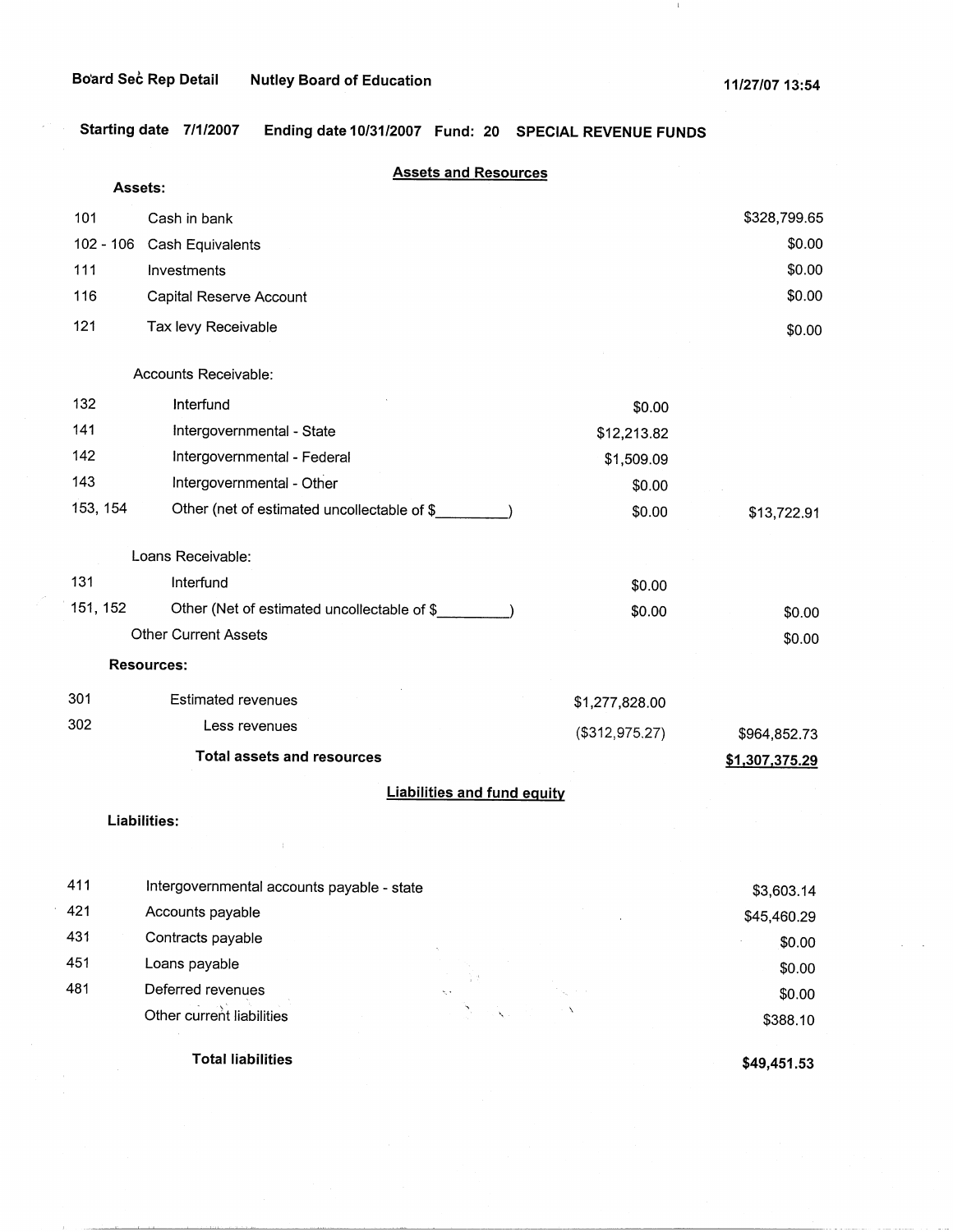J,

 $\parallel \parallel$ 

**Starting date 7/1/2007 Ending date 10/31/2007 Fund: 20 SPECIAL REVENUE FUNDS** 

|           | Assets:                                     | <b>Assets and Resources</b>        |                |
|-----------|---------------------------------------------|------------------------------------|----------------|
| 101       | Cash in bank                                |                                    | \$328,799.65   |
| 102 - 106 | Cash Equivalents                            |                                    | \$0.00         |
| 111       | Investments                                 |                                    | \$0.00         |
| 116       | Capital Reserve Account                     |                                    | \$0.00         |
| 121       | Tax levy Receivable                         |                                    | \$0.00         |
|           | Accounts Receivable:                        |                                    |                |
| 132       | Interfund                                   | \$0.00                             |                |
| 141       | Intergovernmental - State                   | \$12,213.82                        |                |
| 142       | Intergovernmental - Federal                 | \$1,509.09                         |                |
| 143       | Intergovernmental - Other                   | \$0.00                             |                |
| 153, 154  | Other (net of estimated uncollectable of \$ | \$0.00                             | \$13,722.91    |
|           | Loans Receivable:                           |                                    |                |
| 131       | Interfund                                   | \$0.00                             |                |
| 151, 152  | Other (Net of estimated uncollectable of \$ | \$0.00                             | \$0.00         |
|           | <b>Other Current Assets</b>                 |                                    | \$0.00         |
|           | <b>Resources:</b>                           |                                    |                |
| 301       | <b>Estimated revenues</b>                   | \$1,277,828.00                     |                |
| 302       | Less revenues                               | (\$312,975.27)                     | \$964,852.73   |
|           | <b>Total assets and resources</b>           |                                    | \$1,307,375.29 |
|           |                                             | <b>Liabilities and fund equity</b> |                |
|           | Liabilities:                                |                                    |                |
|           |                                             |                                    |                |
| 411       | Intergovernmental accounts payable - state  |                                    | \$3,603.14     |
| 421       | Accounts payable                            |                                    | \$45,460.29    |
| 431       | Contracts payable                           |                                    | \$0.00         |
| 451       | Loans payable                               |                                    | \$0.00         |
| 481       | Deferred revenues                           |                                    | \$0.00         |
|           | Other current liabilities                   |                                    | \$388.10       |

**Total liabilities** 

**\$49,451.53**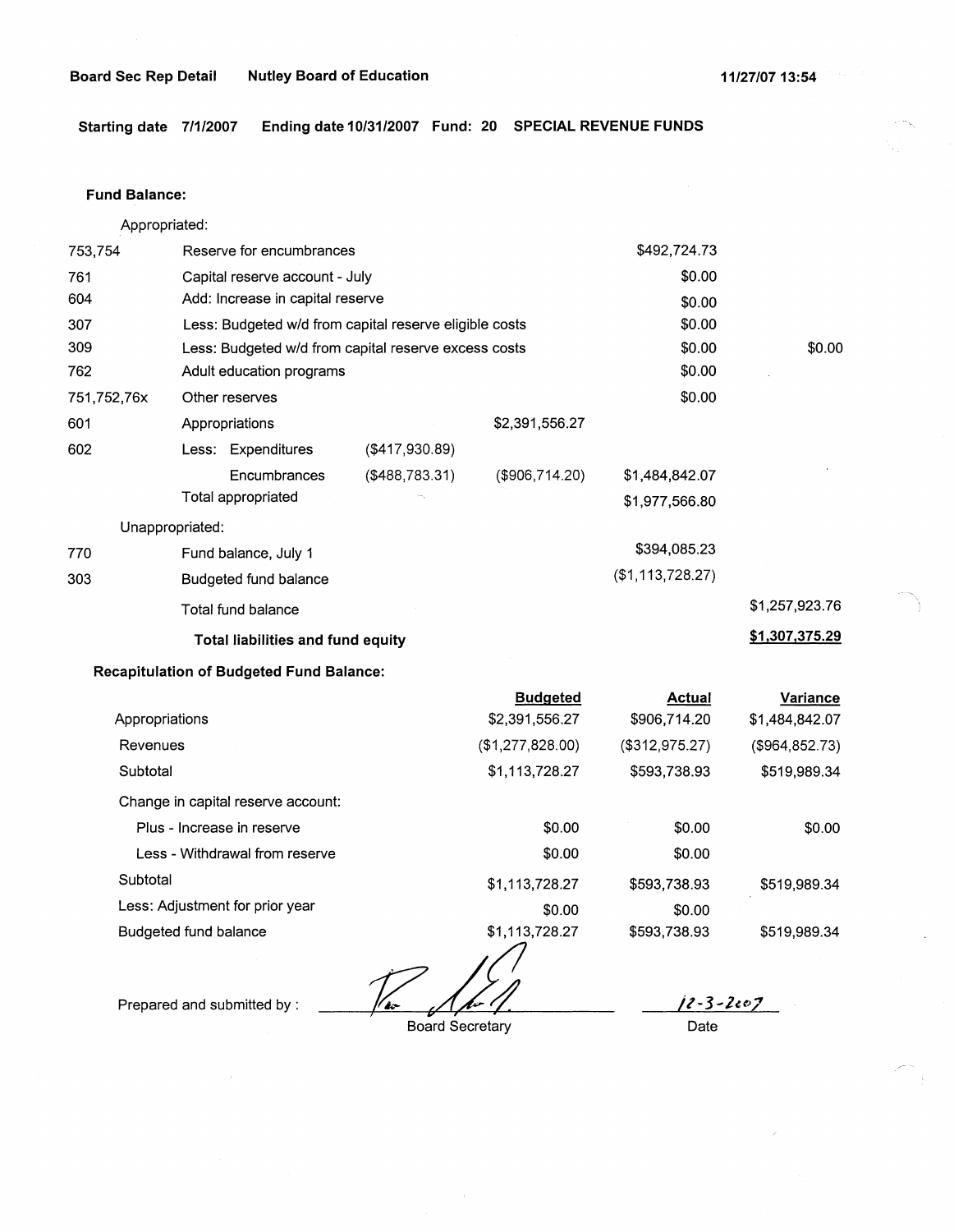**Starting date 7/1/2007 Ending date 10/31/2007 Fund: 20 SPECIAL REVENUE FUNDS** 

#### **Fund Balance:**

Appropriated:

| 753,754         | Reserve for encumbrances                               |                   |                | \$492,724.73     |                |
|-----------------|--------------------------------------------------------|-------------------|----------------|------------------|----------------|
| 761             | Capital reserve account - July                         |                   | \$0.00         |                  |                |
| 604             | Add: Increase in capital reserve                       |                   |                | \$0.00           |                |
| 307             | Less: Budgeted w/d from capital reserve eligible costs |                   |                | \$0.00           |                |
| 309             | Less: Budgeted w/d from capital reserve excess costs   |                   |                | \$0.00           | \$0.00         |
| 762             | Adult education programs                               |                   |                | \$0.00           |                |
| 751,752,76x     | Other reserves                                         |                   |                | \$0.00           |                |
| 601             | Appropriations                                         |                   | \$2,391,556.27 |                  |                |
| 602             | Less: Expenditures                                     | ( \$417, 930.89)  |                |                  |                |
|                 | Encumbrances                                           | $($ \$488,783.31) | (\$906,714.20) | \$1,484,842.07   |                |
|                 | Total appropriated                                     |                   |                | \$1,977,566.80   |                |
| Unappropriated: |                                                        |                   |                |                  |                |
| 770             | Fund balance, July 1                                   |                   |                | \$394,085.23     |                |
| 303             | Budgeted fund balance                                  |                   |                | (\$1,113,728.27) |                |
|                 | Total fund balance                                     |                   |                |                  | \$1,257,923.76 |
|                 | <b>Total liabilities and fund equity</b>               |                   |                |                  | \$1,307,375.29 |

# **Recapitulation of Budgeted Fund Balance:**

|                                    | <b>Budgeted</b>  | Actual         | Variance        |
|------------------------------------|------------------|----------------|-----------------|
| Appropriations                     | \$2,391,556.27   | \$906,714.20   | \$1,484,842.07  |
| Revenues                           | (\$1,277,828.00) | (\$312,975.27) | (\$964, 852.73) |
| Subtotal                           | \$1,113,728.27   | \$593,738.93   | \$519,989.34    |
| Change in capital reserve account: |                  |                |                 |
| Plus - Increase in reserve         | \$0.00           | \$0.00         | \$0.00          |
| Less - Withdrawal from reserve     | \$0.00           | \$0.00         |                 |
| Subtotal                           | \$1,113,728.27   | \$593,738.93   | \$519.989.34    |
| Less: Adjustment for prior year    | \$0.00           | \$0.00         |                 |
| Budgeted fund balance              | \$1,113,728.27   | \$593,738.93   | \$519,989.34    |

*126 / 10-11*<br>Board Secretary

Prepared and submitted by :

Board Secretary

*Jt-3-le~z* 

Date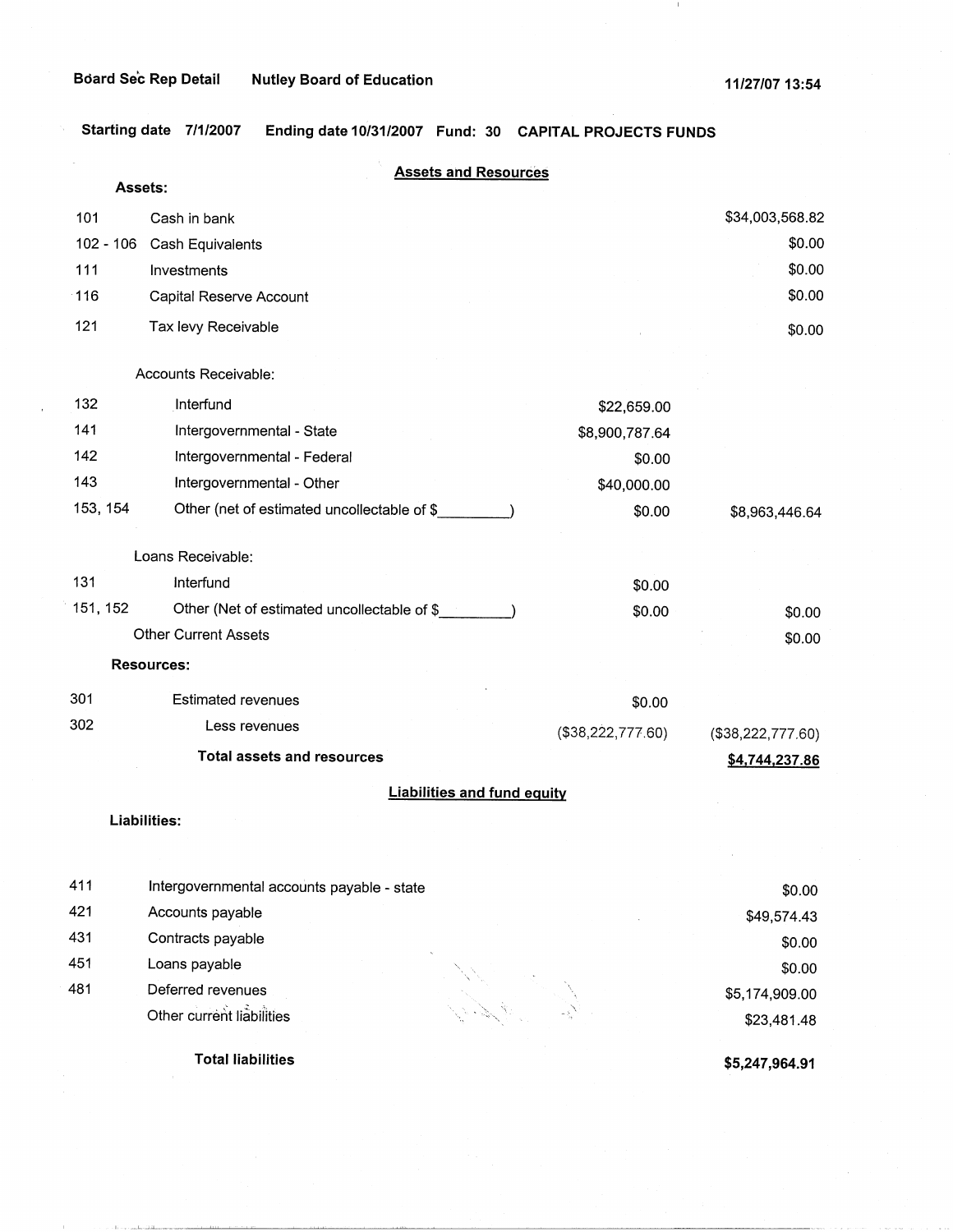$\perp$ 

**Starting date 7/1/2007 Ending date 10/31/2007 Fund: 30 CAPITAL PROJECTS FUNDS** 

|             | Assets:                                     | <b>Assets and Resources</b>        |                   |
|-------------|---------------------------------------------|------------------------------------|-------------------|
| 101         | Cash in bank                                |                                    | \$34,003,568.82   |
| $102 - 106$ | Cash Equivalents                            |                                    | \$0.00            |
| 111         | Investments                                 |                                    | \$0.00            |
| 116         | Capital Reserve Account                     |                                    | \$0.00            |
| 121         | Tax levy Receivable                         |                                    |                   |
|             |                                             |                                    | \$0.00            |
|             | Accounts Receivable:                        |                                    |                   |
| 132         | Interfund                                   | \$22,659.00                        |                   |
| 141         | Intergovernmental - State                   | \$8,900,787.64                     |                   |
| 142         | Intergovernmental - Federal                 | \$0.00                             |                   |
| 143         | Intergovernmental - Other                   | \$40,000.00                        |                   |
| 153, 154    | Other (net of estimated uncollectable of \$ | \$0.00                             | \$8,963,446.64    |
|             | Loans Receivable:                           |                                    |                   |
| 131         | Interfund                                   | \$0.00                             |                   |
| 151, 152    | Other (Net of estimated uncollectable of \$ | \$0.00                             | \$0.00            |
|             | <b>Other Current Assets</b>                 |                                    | \$0.00            |
|             | <b>Resources:</b>                           |                                    |                   |
| 301         | <b>Estimated revenues</b>                   | \$0.00                             |                   |
| 302         | Less revenues                               | (\$38,222,777.60)                  | (\$38,222,777.60) |
|             | <b>Total assets and resources</b>           |                                    | \$4,744,237.86    |
|             |                                             | <b>Liabilities and fund equity</b> |                   |
|             | <b>Liabilities:</b>                         |                                    |                   |
|             |                                             |                                    |                   |
| 411         | Intergovernmental accounts payable - state  |                                    | \$0.00            |
| 421         | Accounts payable                            |                                    | \$49,574.43       |
| 431         | Contracts payable                           |                                    | \$0.00            |
| 451         | Loans payable                               |                                    | \$0.00            |
| 481         | Deferred revenues                           |                                    | \$5,174,909.00    |
|             | Other current liabilities                   |                                    | \$23,481.48       |
|             |                                             |                                    |                   |

**Total liabilities** 

idid.

**\$5,247,964.91**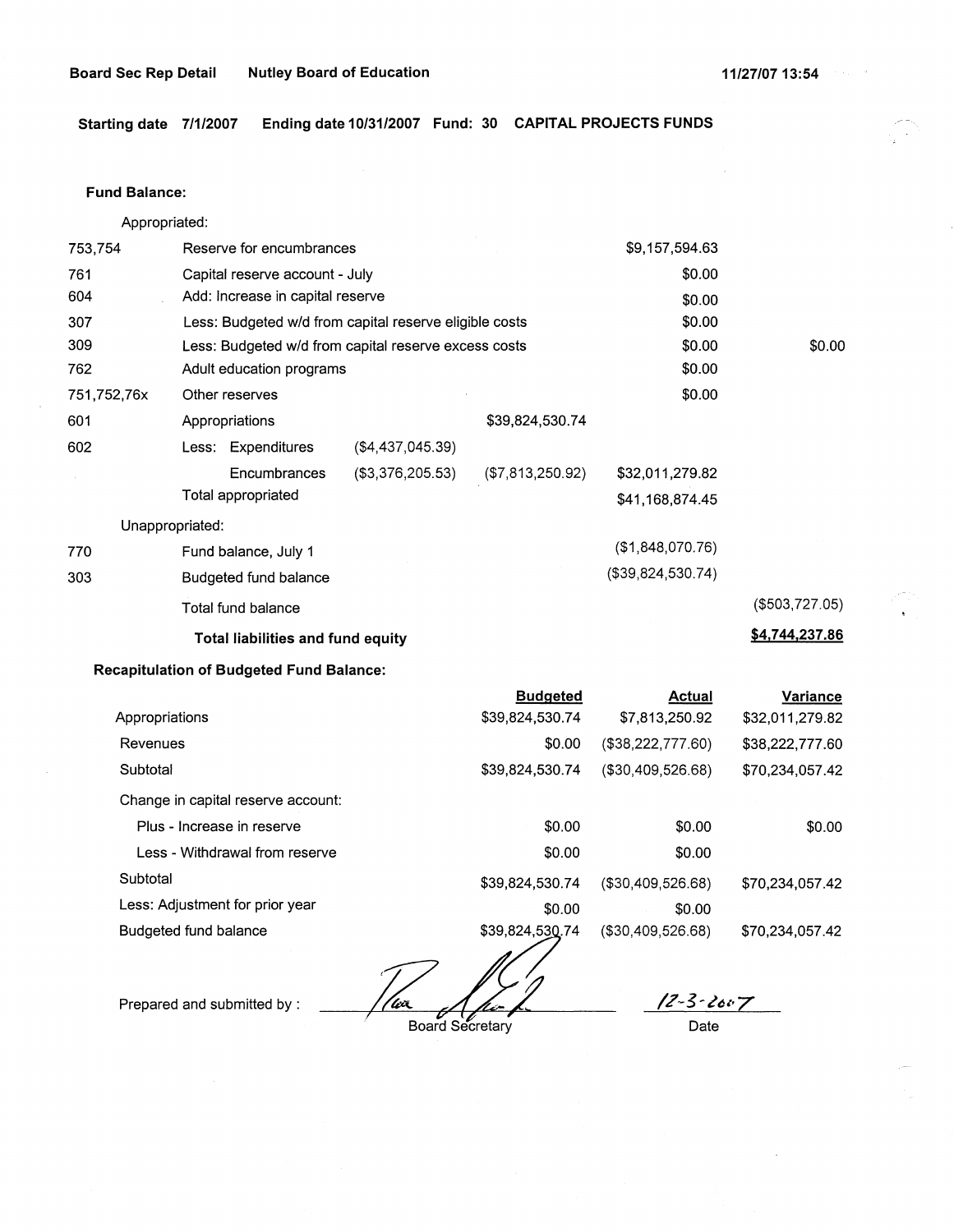Starting date 7/1/2007 Ending date 10/31/2007 Fund: 30 CAPITAL PROJECTS FUNDS

#### **Fund Balance:**

Appropriated:

| 753,754         | Reserve for encumbrances                               |                  | \$9,157,594.63    |                |
|-----------------|--------------------------------------------------------|------------------|-------------------|----------------|
| 761             | Capital reserve account - July                         | \$0.00           |                   |                |
| 604             | Add: Increase in capital reserve                       |                  | \$0.00            |                |
| 307             | Less: Budgeted w/d from capital reserve eligible costs |                  | \$0.00            |                |
| 309             | Less: Budgeted w/d from capital reserve excess costs   |                  | \$0.00            | \$0.00         |
| 762             | Adult education programs                               |                  | \$0.00            |                |
| 751,752,76x     | Other reserves                                         |                  | \$0.00            |                |
| 601             | Appropriations                                         | \$39,824,530.74  |                   |                |
| 602             | Less: Expenditures<br>$(\$4,437,045.39)$               |                  |                   |                |
|                 | (\$3,376,205.53)<br>Encumbrances                       | (\$7,813,250.92) | \$32,011,279.82   |                |
|                 | Total appropriated                                     |                  | \$41,168,874.45   |                |
| Unappropriated: |                                                        |                  |                   |                |
| 770             | Fund balance, July 1                                   |                  | (\$1,848,070.76)  |                |
| 303             | Budgeted fund balance                                  |                  | (\$39,824,530.74) |                |
|                 | Total fund balance                                     |                  |                   | (\$503,727.05) |
|                 | Total liabilities and fund equity                      |                  |                   | \$4,744,237.86 |

# **Recapitulation of Budgeted Fund Balance:**

|                                    | <b>Budgeted</b> | <b>Actual</b>        | Variance        |
|------------------------------------|-----------------|----------------------|-----------------|
| Appropriations                     | \$39,824,530.74 | \$7,813,250.92       | \$32,011,279.82 |
| Revenues                           | \$0.00          | (\$38,222,777.60)    | \$38,222,777.60 |
| Subtotal                           | \$39,824,530.74 | $($ \$30,409,526.68) | \$70,234,057.42 |
| Change in capital reserve account: |                 |                      |                 |
| Plus - Increase in reserve         | \$0.00          | \$0.00               | \$0.00          |
| Less - Withdrawal from reserve     | \$0.00          | \$0.00               |                 |
| Subtotal                           | \$39,824,530.74 | (\$30,409,526.68)    | \$70.234.057.42 |
| Less: Adjustment for prior year    | \$0.00          | \$0.00               |                 |
| Budgeted fund balance              | \$39,824,530.74 | (\$30,409,526.68)    | \$70,234,057.42 |
|                                    |                 |                      |                 |

<u>| (w</u>x

Prepared and submitted by :

Board Secretary

 $12 - 3 - 2007$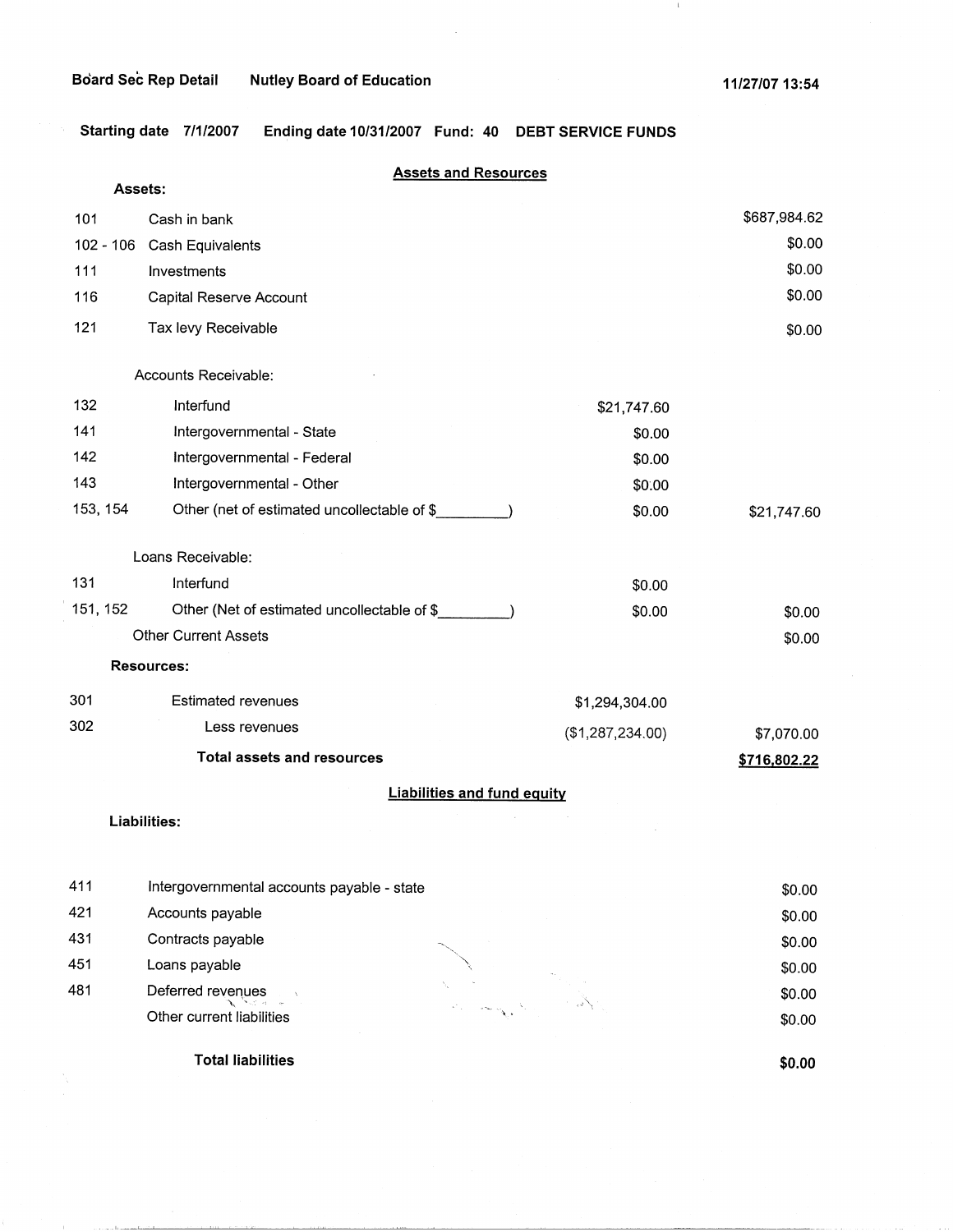$\perp$ 

**Starting date 7/1/2007 Ending date 10/31/2007 Fund: 40 DEBT SERVICE FUNDS** 

|             | <b>Assets and Resources</b>                 |                  |              |
|-------------|---------------------------------------------|------------------|--------------|
|             | Assets:                                     |                  |              |
| 101         | Cash in bank                                |                  | \$687,984.62 |
| $102 - 106$ | Cash Equivalents                            |                  | \$0.00       |
| 111         | Investments                                 |                  | \$0.00       |
| 116         | Capital Reserve Account                     |                  | \$0.00       |
| 121         | Tax levy Receivable                         |                  | \$0.00       |
|             | Accounts Receivable:                        |                  |              |
| 132         | Interfund                                   | \$21,747.60      |              |
| 141         | Intergovernmental - State                   | \$0.00           |              |
| 142         | Intergovernmental - Federal                 | \$0.00           |              |
| 143         | Intergovernmental - Other                   | \$0.00           |              |
| 153, 154    | Other (net of estimated uncollectable of \$ | \$0.00           | \$21,747.60  |
|             | Loans Receivable:                           |                  |              |
| 131         | Interfund                                   | \$0.00           |              |
| 151, 152    | Other (Net of estimated uncollectable of \$ | \$0.00           | \$0.00       |
|             | <b>Other Current Assets</b>                 |                  | \$0.00       |
|             | <b>Resources:</b>                           |                  |              |
| 301         | <b>Estimated revenues</b>                   | \$1,294,304.00   |              |
| 302         | Less revenues                               | (\$1,287,234.00) | \$7,070.00   |
|             | <b>Total assets and resources</b>           |                  | \$716,802.22 |
|             | <b>Liabilities and fund equity</b>          |                  |              |
|             | Liabilities:                                |                  |              |
|             |                                             |                  |              |
| 411         | Intergovernmental accounts payable - state  |                  | \$0.00       |
| 421         | Accounts payable                            |                  | \$0.00       |
| 431         | Contracts payable                           |                  | \$0.00       |
| 451         | Loans payable                               |                  | \$0.00       |
| 481         | Deferred revenues                           |                  | \$0.00       |
|             | Other current liabilities                   |                  | \$0.00       |

**Total liabilities** 

**\$0.00** 

\$0.00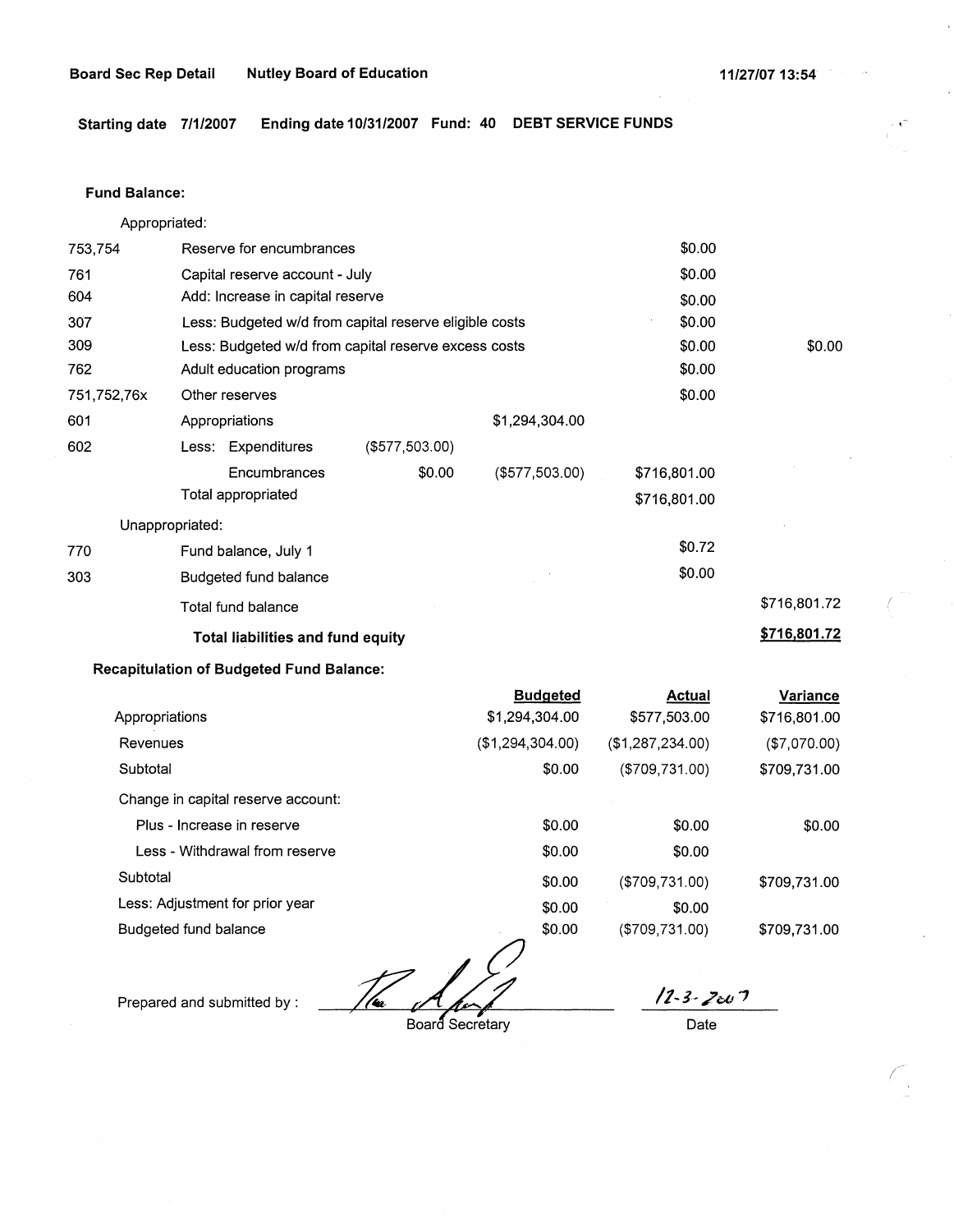**Starting date 7/1/2007 Ending date 10/31/2007 Fund: 40 DEBT SERVICE FUNDS** 

### **Fund Balance:**

Appropriated:

| 753,754         | Reserve for encumbrances       |                                          |                                                        | \$0.00           |              |              |
|-----------------|--------------------------------|------------------------------------------|--------------------------------------------------------|------------------|--------------|--------------|
| 761             | Capital reserve account - July |                                          |                                                        | \$0.00           |              |              |
| 604             |                                | Add: Increase in capital reserve         |                                                        |                  | \$0.00       |              |
| 307             |                                |                                          | Less: Budgeted w/d from capital reserve eligible costs |                  | \$0.00       |              |
| 309             |                                |                                          | Less: Budgeted w/d from capital reserve excess costs   |                  | \$0.00       | \$0.00       |
| 762             |                                | Adult education programs                 |                                                        |                  | \$0.00       |              |
| 751,752,76x     | Other reserves                 |                                          |                                                        |                  | \$0.00       |              |
| 601             |                                | Appropriations                           |                                                        | \$1,294,304.00   |              |              |
| 602             |                                | Less: Expenditures                       | $($ \$577,503.00)                                      |                  |              |              |
|                 |                                | Encumbrances                             | \$0.00                                                 | ( \$577, 503.00) | \$716,801.00 |              |
|                 |                                | Total appropriated                       |                                                        |                  | \$716,801.00 |              |
| Unappropriated: |                                |                                          |                                                        |                  |              |              |
| 770             |                                | Fund balance, July 1                     |                                                        |                  | \$0.72       |              |
| 303             |                                | Budgeted fund balance                    |                                                        |                  | \$0.00       |              |
|                 |                                | Total fund balance                       |                                                        |                  |              | \$716,801.72 |
|                 |                                | <b>Total liabilities and fund equity</b> |                                                        |                  |              | \$716,801.72 |

# **Recapitulation of Budgeted Fund Balance:**

|                                    | <b>Budgeted</b>  | Actual            | Variance     |
|------------------------------------|------------------|-------------------|--------------|
| Appropriations                     | \$1,294,304.00   | \$577,503.00      | \$716,801.00 |
| Revenues                           | (\$1,294,304.00) | (\$1,287,234.00)  | (\$7,070.00) |
| Subtotal                           | \$0.00           | (\$709,731.00)    | \$709,731.00 |
| Change in capital reserve account: |                  |                   |              |
| Plus - Increase in reserve         | \$0.00           | \$0.00            | \$0.00       |
| Less - Withdrawal from reserve     | \$0.00           | \$0.00            |              |
| Subtotal                           | \$0.00           | (\$709,731.00)    | \$709,731.00 |
| Less: Adjustment for prior year    | \$0.00           | \$0.00            |              |
| Budgeted fund balance              | \$0.00           | $($ \$709,731.00) | \$709.731.00 |

Prepared and submitted by :<br>Board Secretary<br>Board Secretary

**/1-l-?oi!** *'1*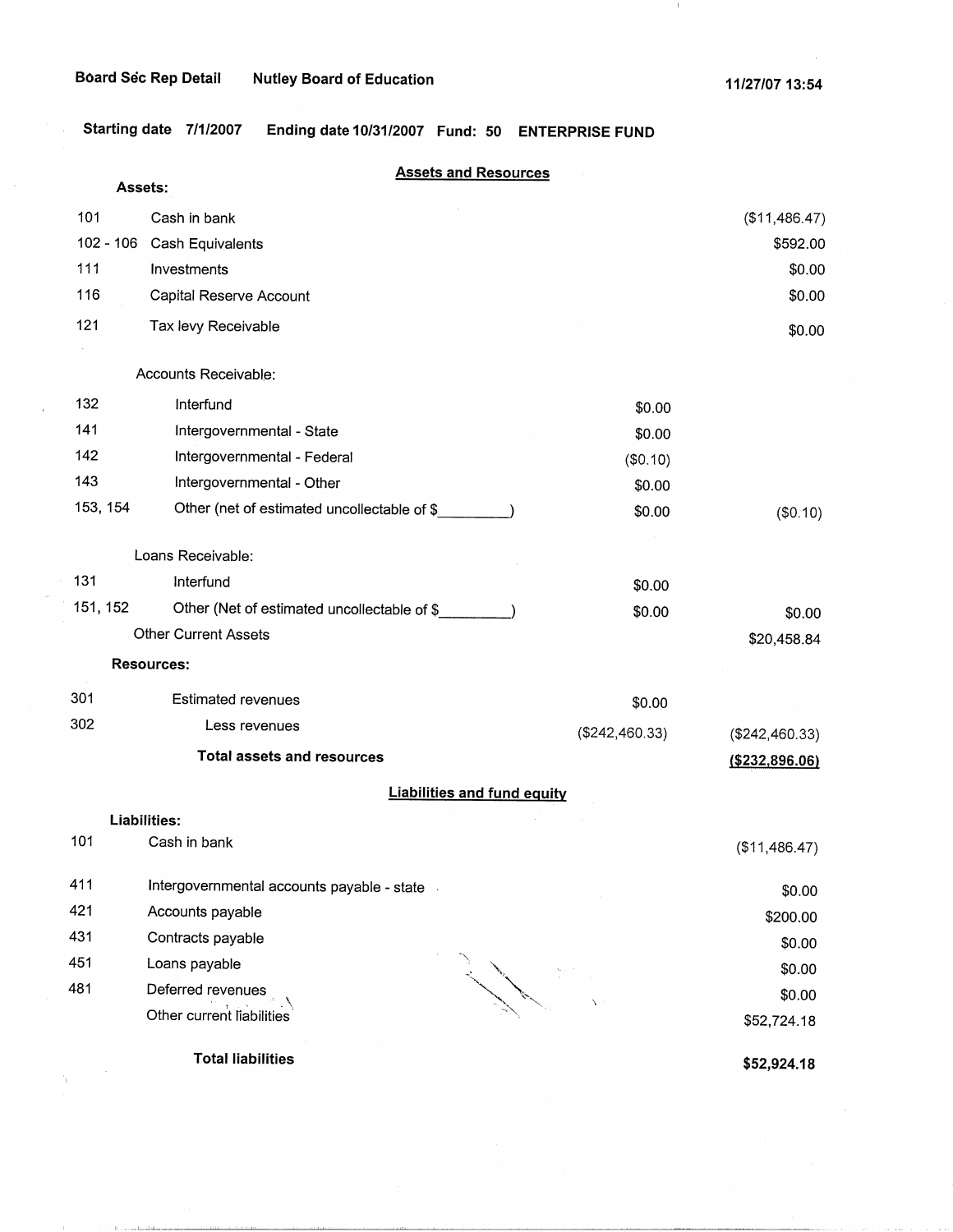$\sim$   $\sim$ 

 $\label{eq:1} \begin{aligned} \mathbf{1}_{\text{in}} & \mathbf{1}_{\text{in}} & \mathbf{1}_{\text{in}} & \mathbf{1}_{\text{in}} & \mathbf{1}_{\text{in}} & \mathbf{1}_{\text{in}} & \mathbf{1}_{\text{in}} \\ \mathbf{1}_{\text{in}} & \mathbf{1}_{\text{in}} & \mathbf{1}_{\text{in}} & \mathbf{1}_{\text{in}} & \mathbf{1}_{\text{in}} & \mathbf{1}_{\text{in}} & \mathbf{1}_{\text{in}} & \mathbf{1}_{\text{in}} \end{aligned}$ 

 $\tilde{\Delta}$ 

 $\perp$ 

**Starting date 7/1/2007 Ending date 10/31/2007 Fund: 50 ENTERPRISE FUND** 

|     | Assets:     | <b>Assets and Resources</b>                  |                |                  |
|-----|-------------|----------------------------------------------|----------------|------------------|
| 101 |             | Cash in bank                                 |                | (\$11,486.47)    |
|     | $102 - 106$ | Cash Equivalents                             |                | \$592.00         |
| 111 |             | Investments                                  |                | \$0.00           |
| 116 |             | Capital Reserve Account                      |                | \$0.00           |
| 121 |             | Tax levy Receivable                          |                | \$0.00           |
|     |             | Accounts Receivable:                         |                |                  |
| 132 |             | Interfund                                    | \$0.00         |                  |
| 141 |             | Intergovernmental - State                    | \$0.00         |                  |
| 142 |             | Intergovernmental - Federal                  | (\$0.10)       |                  |
| 143 |             | Intergovernmental - Other                    | \$0.00         |                  |
|     | 153, 154    | Other (net of estimated uncollectable of \$  | \$0.00         | (\$0.10)         |
|     |             | Loans Receivable:                            |                |                  |
| 131 |             | Interfund                                    | \$0.00         |                  |
|     | 151, 152    | Other (Net of estimated uncollectable of \$_ | \$0.00         | \$0.00           |
|     |             | <b>Other Current Assets</b>                  |                | \$20,458.84      |
|     |             | <b>Resources:</b>                            |                |                  |
| 301 |             | <b>Estimated revenues</b>                    | \$0.00         |                  |
| 302 |             | Less revenues                                | (\$242,460.33) | (\$242,460.33)   |
|     |             | <b>Total assets and resources</b>            |                | ( \$232, 896.06) |
|     |             | <b>Liabilities and fund equity</b>           |                |                  |
|     |             | Liabilities:                                 |                |                  |
| 101 |             | Cash in bank                                 |                | (\$11,486.47)    |
| 411 |             | Intergovernmental accounts payable - state   |                | \$0.00           |
| 421 |             | Accounts payable                             |                | \$200.00         |
| 431 |             | Contracts payable                            |                | \$0.00           |
| 451 |             | Loans payable                                |                | \$0.00           |
| 481 |             | Deferred revenues                            |                | \$0.00           |
|     |             | Other current liabilities                    |                | \$52,724.18      |
|     |             | <b>Total liabilities</b>                     |                | \$52,924.18      |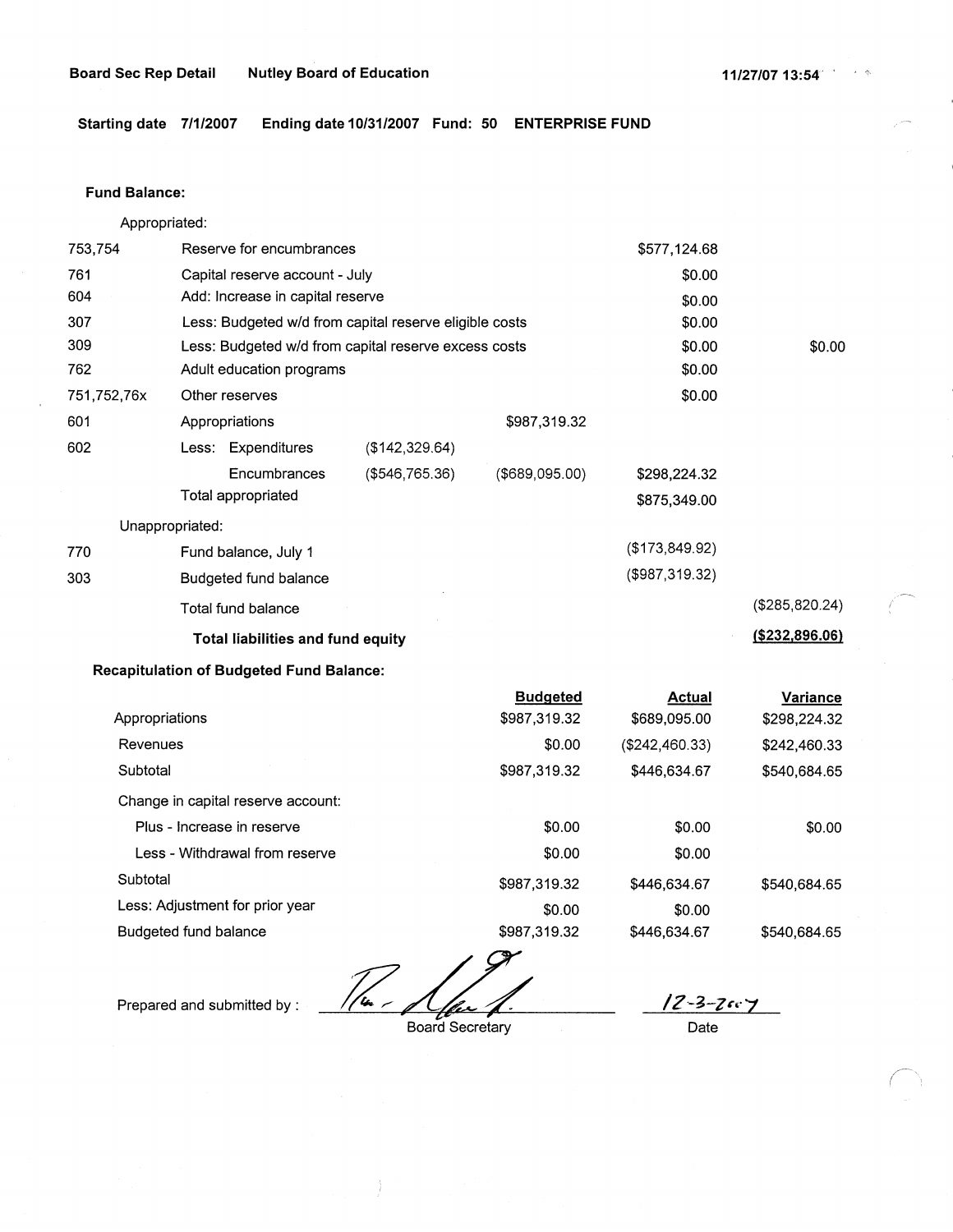**Starting date 7/1/2007 Ending date 10/31/2007 Fund: 50 ENTERPRISE FUND** 

#### **Fund Balance:**

Appropriated:

| 753,754                                         | Reserve for encumbrances<br>\$577,124.68               |                |                |                   |                  |
|-------------------------------------------------|--------------------------------------------------------|----------------|----------------|-------------------|------------------|
| 761                                             | Capital reserve account - July                         |                |                | \$0.00            |                  |
| 604                                             | Add: Increase in capital reserve                       |                |                | \$0.00            |                  |
| 307                                             | Less: Budgeted w/d from capital reserve eligible costs |                |                | \$0.00            |                  |
| 309                                             | Less: Budgeted w/d from capital reserve excess costs   |                |                | \$0.00            | \$0.00           |
| 762                                             | Adult education programs                               |                |                | \$0.00            |                  |
| 751,752,76x                                     | Other reserves                                         |                |                | \$0.00            |                  |
| 601                                             | Appropriations                                         |                | \$987,319.32   |                   |                  |
| 602                                             | Less: Expenditures                                     | (\$142,329.64) |                |                   |                  |
|                                                 | Encumbrances                                           | (\$546,765.36) | (\$689,095.00) | \$298,224.32      |                  |
|                                                 | Total appropriated                                     |                |                | \$875,349.00      |                  |
| Unappropriated:                                 |                                                        |                |                |                   |                  |
| 770                                             | Fund balance, July 1                                   |                |                | (\$173,849.92)    |                  |
| 303                                             | Budgeted fund balance                                  |                |                | $($ \$987,319.32) |                  |
|                                                 | Total fund balance                                     |                |                |                   | (\$285,820.24)   |
| Total liabilities and fund equity               |                                                        |                |                |                   | ( \$232, 896.06) |
| <b>Recapitulation of Budgeted Fund Balance:</b> |                                                        |                |                |                   |                  |

|                                    | <b>Budgeted</b> | <b>Actual</b>  | <b>Variance</b> |
|------------------------------------|-----------------|----------------|-----------------|
| Appropriations                     | \$987,319.32    | \$689,095.00   | \$298,224.32    |
| Revenues                           | \$0.00          | (\$242,460.33) | \$242,460.33    |
| Subtotal                           | \$987,319.32    | \$446,634.67   | \$540,684.65    |
| Change in capital reserve account: |                 |                |                 |
| Plus - Increase in reserve         | \$0.00          | \$0.00         | \$0.00          |
| Less - Withdrawal from reserve     | \$0.00          | \$0.00         |                 |
| Subtotal                           | \$987,319.32    | \$446,634.67   | \$540,684.65    |
| Less: Adjustment for prior year    | \$0.00          | \$0.00         |                 |
| Budgeted fund balance              | \$987,319.32    | \$446,634.67   | \$540.684.65    |

 $/$ ln  $\sim$ Board Secretary

 $12 - 3 - 7607$ 

Date

Prepared and submitted by :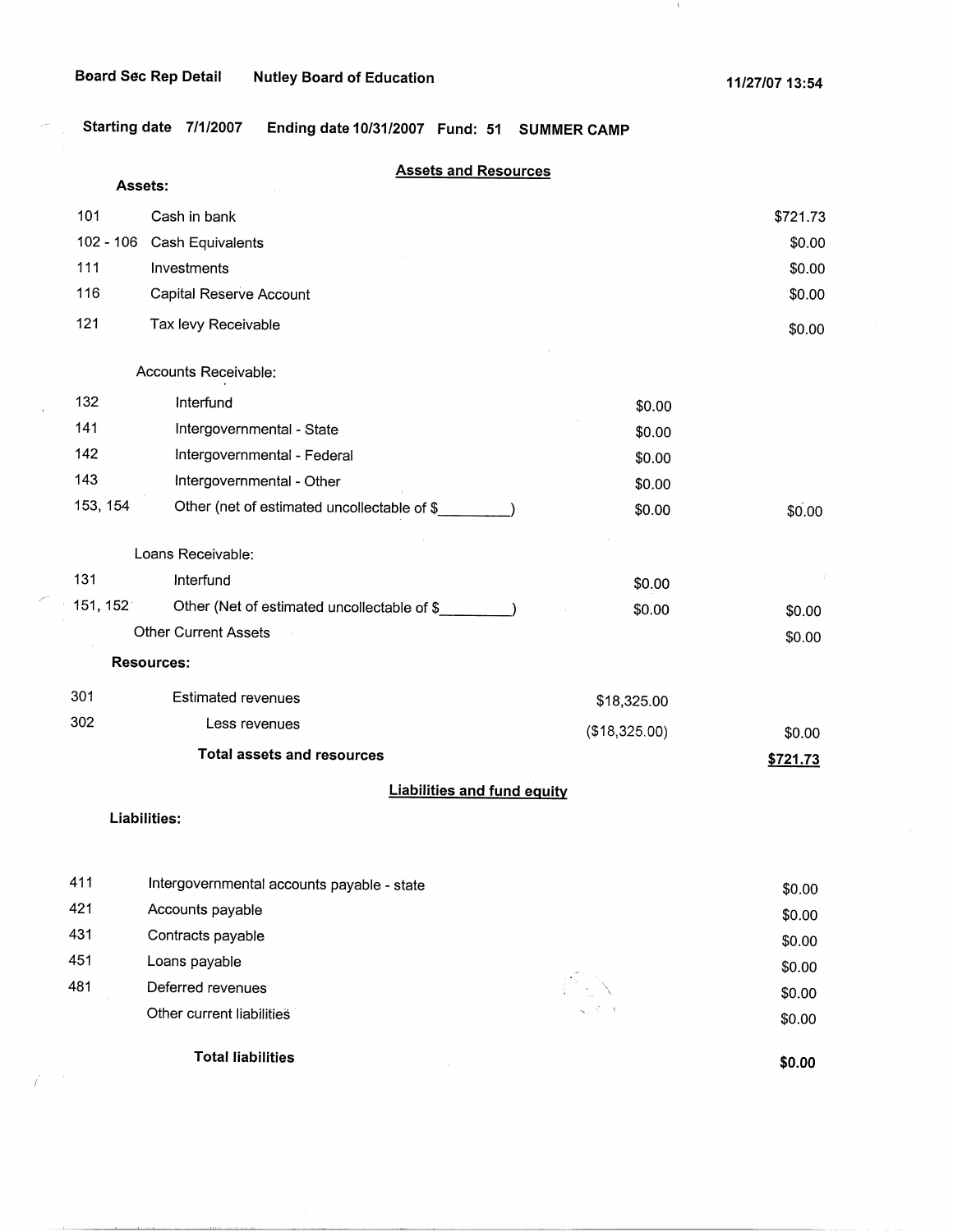$I^{\text{max}}$ 

)<br>P

 $\langle 1 \rangle$ 

**Starting date 7/1/2007 Ending date 10/31/2007 Fund: 51 SUMMER CAMP** 

|             | <b>Assets and Resources</b><br>Assets:      |               |          |
|-------------|---------------------------------------------|---------------|----------|
| 101         | Cash in bank                                |               | \$721.73 |
| $102 - 106$ | <b>Cash Equivalents</b>                     |               | \$0.00   |
| 111         | Investments                                 |               | \$0.00   |
| 116         | Capital Reserve Account                     |               | \$0.00   |
| 121         | Tax levy Receivable                         |               | \$0.00   |
|             | Accounts Receivable:                        |               |          |
| 132         | Interfund                                   | \$0.00        |          |
| 141         | Intergovernmental - State                   | \$0.00        |          |
| 142         | Intergovernmental - Federal                 | \$0.00        |          |
| 143         | Intergovernmental - Other                   | \$0.00        |          |
| 153, 154    | Other (net of estimated uncollectable of \$ | \$0.00        | \$0.00   |
|             | Loans Receivable:                           |               |          |
| 131         | Interfund                                   | \$0.00        |          |
| 151, 152    | Other (Net of estimated uncollectable of \$ | \$0.00        | \$0.00   |
|             | <b>Other Current Assets</b>                 |               | \$0.00   |
|             | <b>Resources:</b>                           |               |          |
| 301         | <b>Estimated revenues</b>                   | \$18,325.00   |          |
| 302         | Less revenues                               | (\$18,325.00) | \$0.00   |
|             | <b>Total assets and resources</b>           |               | \$721.73 |
|             | <b>Liabilities and fund equity</b>          |               |          |
|             | Liabilities:                                |               |          |
|             |                                             |               |          |
| 411         | Intergovernmental accounts payable - state  |               | \$0.00   |
| 421         | Accounts payable                            |               | \$0.00   |
| 431         | Contracts payable                           |               | \$0.00   |
| 451         | Loans payable                               |               | \$0.00   |
| 481         | Deferred revenues                           |               | \$0.00   |
|             | Other current liabilities                   |               | \$0.00   |
|             | <b>Total liabilities</b>                    |               | \$0.00   |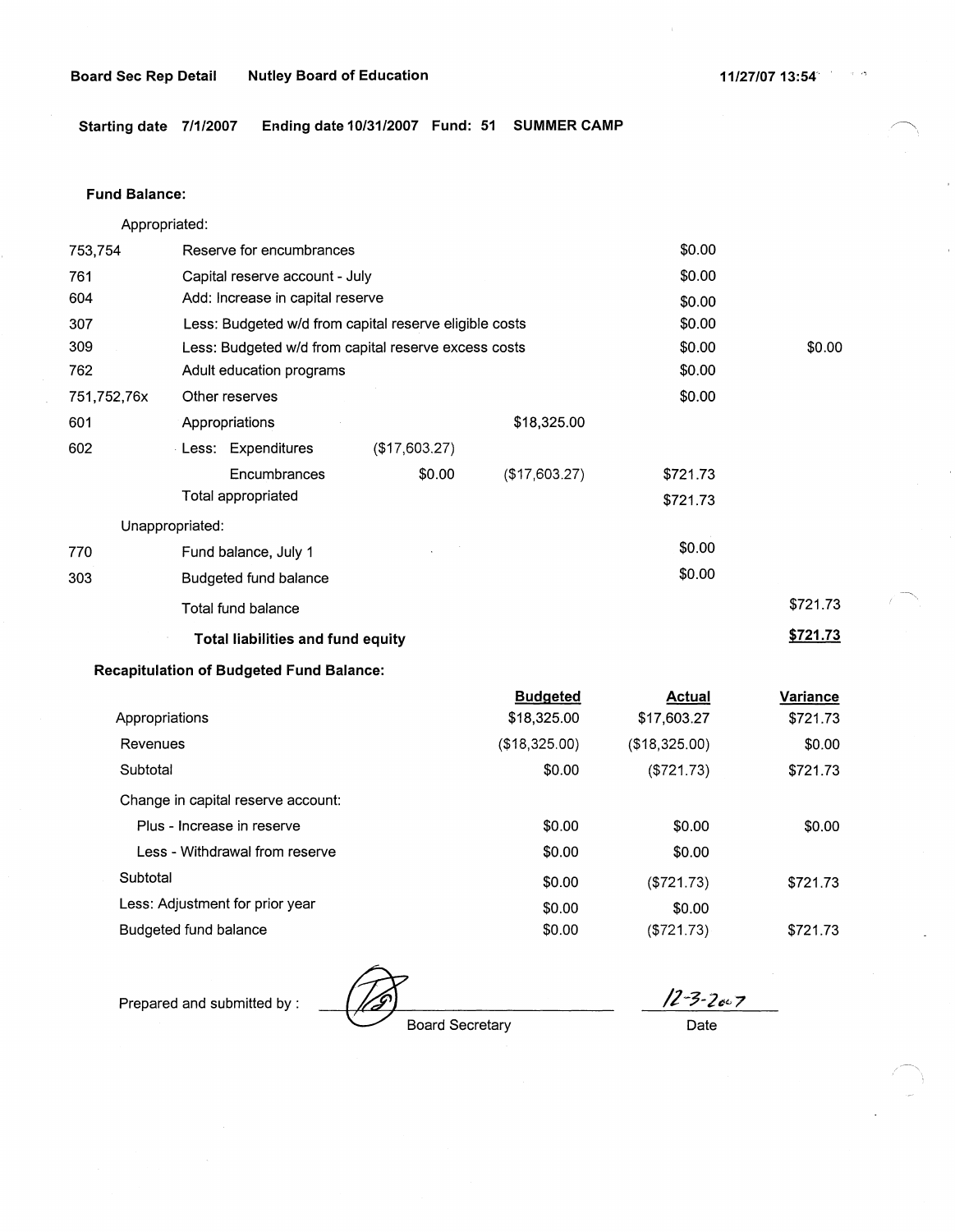**Starting date 7/1/2007 Ending date 10/31/2007 Fund: 51 SUMMER CAMP** 

### **Fund Balance:**

Appropriated:

| 753,754                                  | Reserve for encumbrances                               | \$0.00        |               |          |          |                 |
|------------------------------------------|--------------------------------------------------------|---------------|---------------|----------|----------|-----------------|
| 761                                      | Capital reserve account - July                         | \$0.00        |               |          |          |                 |
| 604                                      | Add: Increase in capital reserve                       |               |               | \$0.00   |          |                 |
| 307                                      | Less: Budgeted w/d from capital reserve eligible costs |               |               | \$0.00   |          |                 |
| 309                                      | Less: Budgeted w/d from capital reserve excess costs   |               |               | \$0.00   | \$0.00   |                 |
| 762                                      | Adult education programs                               |               |               | \$0.00   |          |                 |
| 751,752,76x                              | Other reserves                                         |               |               | \$0.00   |          |                 |
| 601                                      | Appropriations                                         | \$18,325.00   |               |          |          |                 |
| 602                                      | Less: Expenditures                                     | (\$17,603.27) |               |          |          |                 |
|                                          | Encumbrances                                           | \$0.00        | (\$17,603.27) | \$721.73 |          |                 |
|                                          | Total appropriated                                     |               |               | \$721.73 |          |                 |
| Unappropriated:                          |                                                        |               |               |          |          |                 |
| 770                                      | Fund balance, July 1                                   |               |               | \$0.00   |          |                 |
| 303                                      | Budgeted fund balance                                  |               |               | \$0.00   |          |                 |
|                                          | Total fund balance                                     |               |               |          | \$721.73 | $\mathcal{E}^-$ |
| <b>Total liabilities and fund equity</b> |                                                        |               |               |          | \$721.73 |                 |

### **Recapitulation of Budgeted Fund Balance:**

|                                    | <b>Budgeted</b> | <b>Actual</b> | Variance |
|------------------------------------|-----------------|---------------|----------|
| Appropriations                     | \$18,325.00     | \$17,603.27   | \$721.73 |
| Revenues                           | (\$18,325.00)   | (\$18,325.00) | \$0.00   |
| Subtotal                           | \$0.00          | (\$721.73)    | \$721.73 |
| Change in capital reserve account: |                 |               |          |
| Plus - Increase in reserve         | \$0.00          | \$0.00        | \$0.00   |
| Less - Withdrawal from reserve     | \$0.00          | \$0.00        |          |
| Subtotal                           | \$0.00          | (\$721.73)    | \$721.73 |
| Less: Adjustment for prior year    | \$0.00          | \$0.00        |          |
| Budgeted fund balance              | \$0.00          | (\$721.73)    | \$721.73 |

Prepared and submitted by :  $\sqrt{2\cdot3\cdot2\cdot2\cdot7}$  Board Secretary Date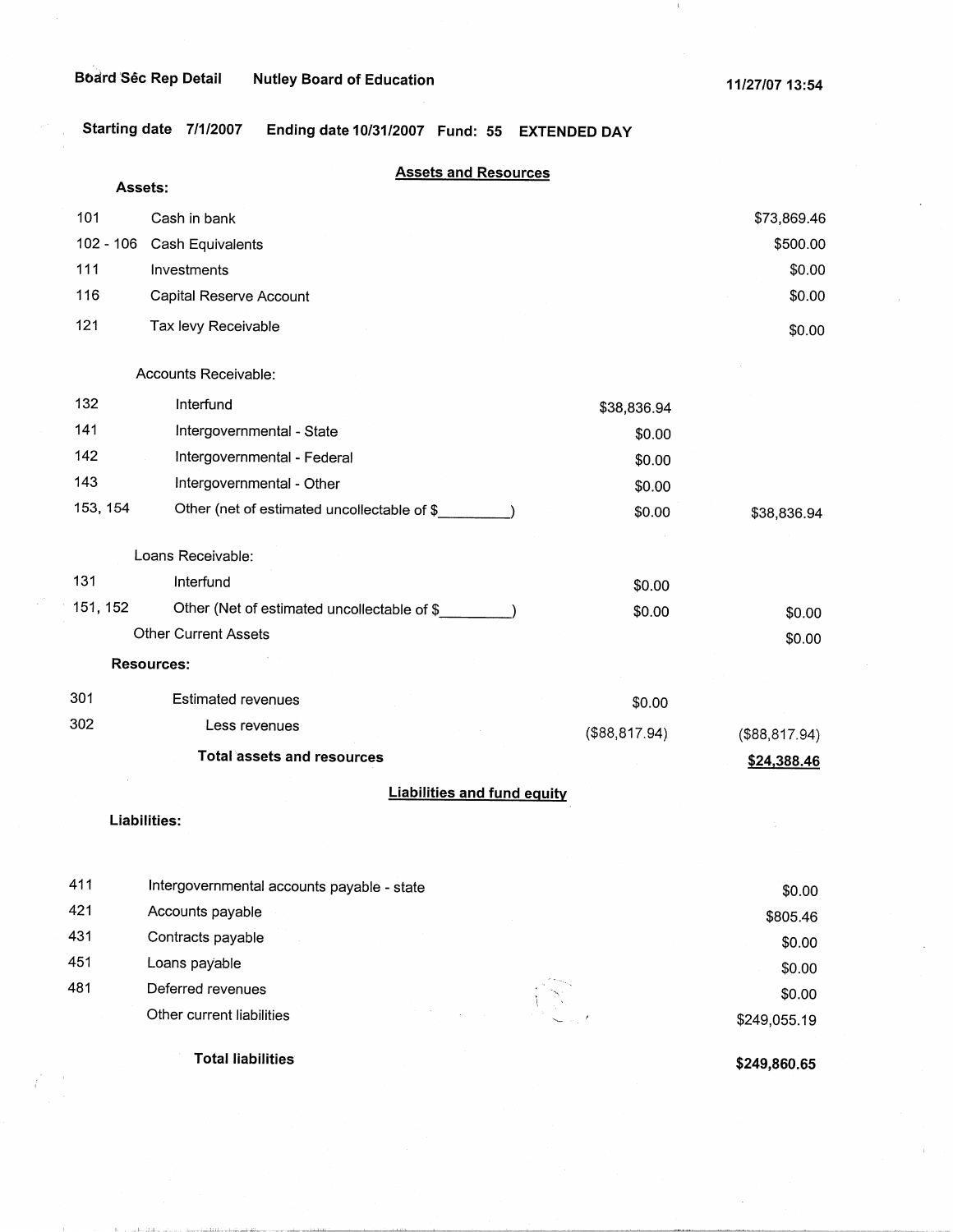and and a

**Starting date 7/1/2007 Ending date 10/31/2007 Fund: 55 EXTENDED DAY** 

|             | <b>Assets and Resources</b>                 |                |                |
|-------------|---------------------------------------------|----------------|----------------|
| Assets:     |                                             |                |                |
| 101         | Cash in bank                                |                | \$73,869.46    |
| $102 - 106$ | Cash Equivalents                            |                | \$500.00       |
| 111         | Investments                                 |                | \$0.00         |
| 116         | Capital Reserve Account                     |                | \$0.00         |
| 121         | Tax levy Receivable                         |                | \$0.00         |
|             | Accounts Receivable:                        |                |                |
| 132         | Interfund                                   | \$38,836.94    |                |
| 141         | Intergovernmental - State                   | \$0.00         |                |
| 142         | Intergovernmental - Federal                 | \$0.00         |                |
| 143         | Intergovernmental - Other                   | \$0.00         |                |
| 153, 154    | Other (net of estimated uncollectable of \$ | \$0.00         | \$38,836.94    |
|             | Loans Receivable:                           |                |                |
| 131         | Interfund                                   | \$0.00         |                |
| 151, 152    | Other (Net of estimated uncollectable of \$ | \$0.00         | \$0.00         |
|             | <b>Other Current Assets</b>                 |                | \$0.00         |
|             | <b>Resources:</b>                           |                |                |
| 301         | <b>Estimated revenues</b>                   | \$0.00         |                |
| 302         | Less revenues                               | (\$88, 817.94) | (\$88, 817.94) |
|             | <b>Total assets and resources</b>           |                | \$24,388.46    |
|             | <b>Liabilities and fund equity</b>          |                |                |
|             | Liabilities:                                |                |                |
| 411         | Internovernmental accounts navable - state  |                | 0 <sub>0</sub> |

|     | <b>Total liabilities</b>                   | $$249$ R <sub>60</sub> $65$ |
|-----|--------------------------------------------|-----------------------------|
|     | Other current liabilities                  | A.S.<br>\$249,055.19        |
| 481 | Deferred revenues                          | \$0.00                      |
| 451 | Loans payable                              | \$0.00                      |
| 431 | Contracts payable                          | \$0.00                      |
| 421 | Accounts payable                           | \$805.46                    |
| 411 | Intergovernmental accounts payable - state | \$0.00                      |

**\$249,860.65**